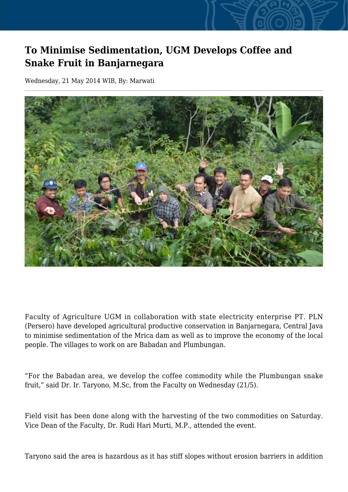## **To Minimise Sedimentation, UGM Develops Coffee and Snake Fruit in Banjarnegara**

Wednesday, 21 May 2014 WIB, By: Marwati



Faculty of Agriculture UGM in collaboration with state electricity enterprise PT. PLN (Persero) have developed agricultural productive conservation in Banjarnegara, Central Java to minimise sedimentation of the Mrica dam as well as to improve the economy of the local people. The villages to work on are Babadan and Plumbungan.

"For the Babadan area, we develop the coffee commodity while the Plumbungan snake fruit," said Dr. Ir. Taryono, M.Sc, from the Faculty on Wednesday (21/5).

Field visit has been done along with the harvesting of the two commodities on Saturday. Vice Dean of the Faculty, Dr. Rudi Hari Murti, M.P., attended the event.

Taryono said the area is hazardous as it has stiff slopes without erosion barriers in addition